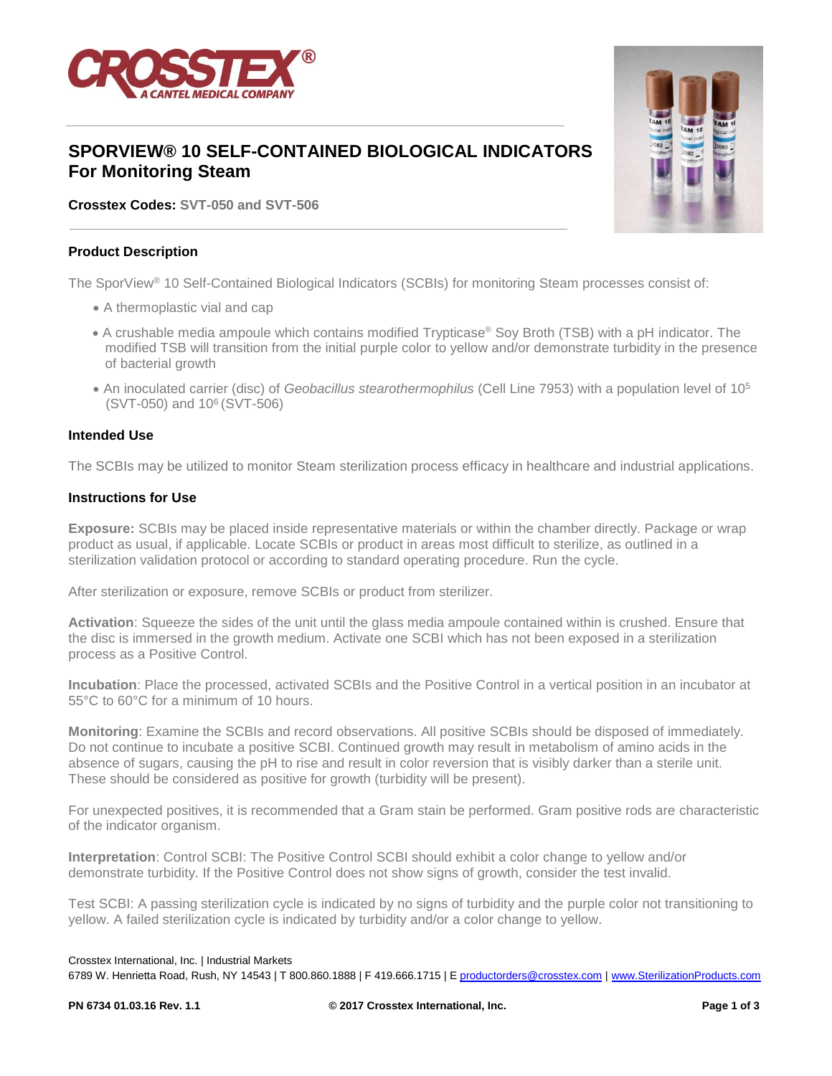

# **SPORVIEW® 10 SELF-CONTAINED BIOLOGICAL INDICATORS For Monitoring Steam**

**Crosstex Codes: SVT-050 and SVT-506**

### **Product Description**

The SporView® 10 Self-Contained Biological Indicators (SCBIs) for monitoring Steam processes consist of:

- A thermoplastic vial and cap
- A crushable media ampoule which contains modified Trypticase® Soy Broth (TSB) with a pH indicator. The modified TSB will transition from the initial purple color to yellow and/or demonstrate turbidity in the presence of bacterial growth
- An inoculated carrier (disc) of *Geobacillus stearothermophilus* (Cell Line 7953) with a population level of 10<sup>5</sup> (SVT-050) and 10<sup>6</sup>(SVT-506)

#### **Intended Use**

The SCBIs may be utilized to monitor Steam sterilization process efficacy in healthcare and industrial applications.

### **Instructions for Use**

**Exposure:** SCBIs may be placed inside representative materials or within the chamber directly. Package or wrap product as usual, if applicable. Locate SCBIs or product in areas most difficult to sterilize, as outlined in a sterilization validation protocol or according to standard operating procedure. Run the cycle.

After sterilization or exposure, remove SCBIs or product from sterilizer.

**Activation**: Squeeze the sides of the unit until the glass media ampoule contained within is crushed. Ensure that the disc is immersed in the growth medium. Activate one SCBI which has not been exposed in a sterilization process as a Positive Control.

**Incubation**: Place the processed, activated SCBIs and the Positive Control in a vertical position in an incubator at 55°C to 60°C for a minimum of 10 hours.

**Monitoring**: Examine the SCBIs and record observations. All positive SCBIs should be disposed of immediately. Do not continue to incubate a positive SCBI. Continued growth may result in metabolism of amino acids in the absence of sugars, causing the pH to rise and result in color reversion that is visibly darker than a sterile unit. These should be considered as positive for growth (turbidity will be present).

For unexpected positives, it is recommended that a Gram stain be performed. Gram positive rods are characteristic of the indicator organism.

**Interpretation**: Control SCBI: The Positive Control SCBI should exhibit a color change to yellow and/or demonstrate turbidity. If the Positive Control does not show signs of growth, consider the test invalid.

Test SCBI: A passing sterilization cycle is indicated by no signs of turbidity and the purple color not transitioning to yellow. A failed sterilization cycle is indicated by turbidity and/or a color change to yellow.

#### Crosstex International, Inc. | Industrial Markets

6789 W. Henrietta Road, Rush, NY 14543 | T 800.860.1888 | F 419.666.1715 | [E productorders@crosstex.com](mailto:productorders@crosstex.com) | [www.SterilizationProducts.com](file:///C:/Users/KVN1304/AppData/Local/Microsoft/Documents%20and%20Settings/ajs0776/Local%20Settings/Temporary%20Internet%20Files/Content.Outlook/64XMA2U2/www.SterilizationProducts.com)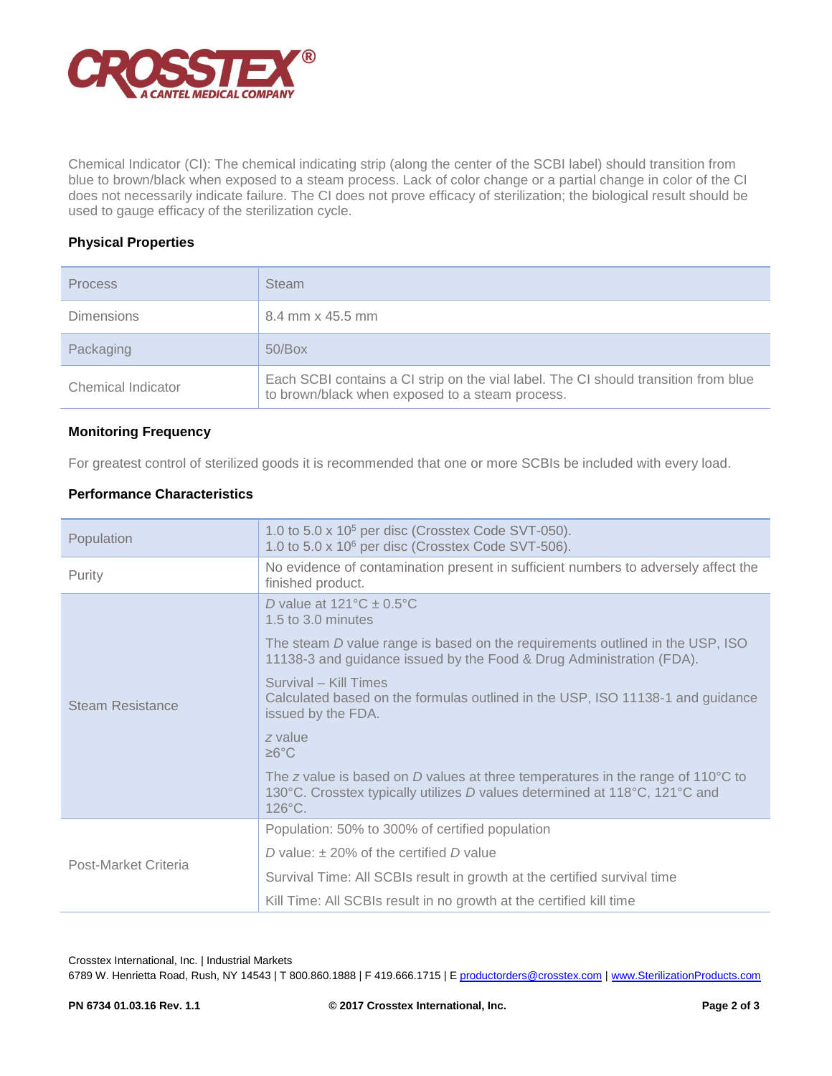

Chemical Indicator (CI): The chemical indicating strip (along the center of the SCBI label) should transition from blue to brown/black when exposed to a steam process. Lack of color change or a partial change in color of the CI does not necessarily indicate failure. The CI does not prove efficacy of sterilization; the biological result should be used to gauge efficacy of the sterilization cycle.

# **Physical Properties**

| <b>Process</b>     | <b>Steam</b>                                                                                                                           |
|--------------------|----------------------------------------------------------------------------------------------------------------------------------------|
| <b>Dimensions</b>  | 8.4 mm x 45.5 mm                                                                                                                       |
| Packaging          | 50/Box                                                                                                                                 |
| Chemical Indicator | Each SCBI contains a CI strip on the vial label. The CI should transition from blue<br>to brown/black when exposed to a steam process. |

# **Monitoring Frequency**

For greatest control of sterilized goods it is recommended that one or more SCBIs be included with every load.

# **Performance Characteristics**

| Population           | 1.0 to 5.0 x 10 <sup>5</sup> per disc (Crosstex Code SVT-050).<br>1.0 to 5.0 x 10 <sup>6</sup> per disc (Crosstex Code SVT-506).                                                            |  |  |
|----------------------|---------------------------------------------------------------------------------------------------------------------------------------------------------------------------------------------|--|--|
| Purity               | No evidence of contamination present in sufficient numbers to adversely affect the<br>finished product.                                                                                     |  |  |
| Steam Resistance     | D value at $121^{\circ}$ C $\pm$ 0.5°C<br>1.5 to 3.0 minutes                                                                                                                                |  |  |
|                      | The steam D value range is based on the requirements outlined in the USP, ISO<br>11138-3 and guidance issued by the Food & Drug Administration (FDA).                                       |  |  |
|                      | Survival - Kill Times<br>Calculated based on the formulas outlined in the USP, ISO 11138-1 and guidance<br>issued by the FDA.                                                               |  |  |
|                      | z value<br>$\geq 6^{\circ}$ C                                                                                                                                                               |  |  |
|                      | The z value is based on D values at three temperatures in the range of 110 $\degree$ C to<br>130°C. Crosstex typically utilizes D values determined at 118°C, 121°C and<br>$126^{\circ}$ C. |  |  |
| Post-Market Criteria | Population: 50% to 300% of certified population                                                                                                                                             |  |  |
|                      | D value: $\pm$ 20% of the certified D value                                                                                                                                                 |  |  |
|                      | Survival Time: All SCBIs result in growth at the certified survival time                                                                                                                    |  |  |
|                      | Kill Time: All SCBIs result in no growth at the certified kill time                                                                                                                         |  |  |

Crosstex International, Inc. | Industrial Markets

6789 W. Henrietta Road, Rush, NY 14543 | T 800.860.1888 | F 419.666.1715 | [E productorders@crosstex.com](mailto:productorders@crosstex.com) | [www.SterilizationProducts.com](file:///C:/Users/KVN1304/AppData/Local/Microsoft/Documents%20and%20Settings/ajs0776/Local%20Settings/Temporary%20Internet%20Files/Content.Outlook/64XMA2U2/www.SterilizationProducts.com)